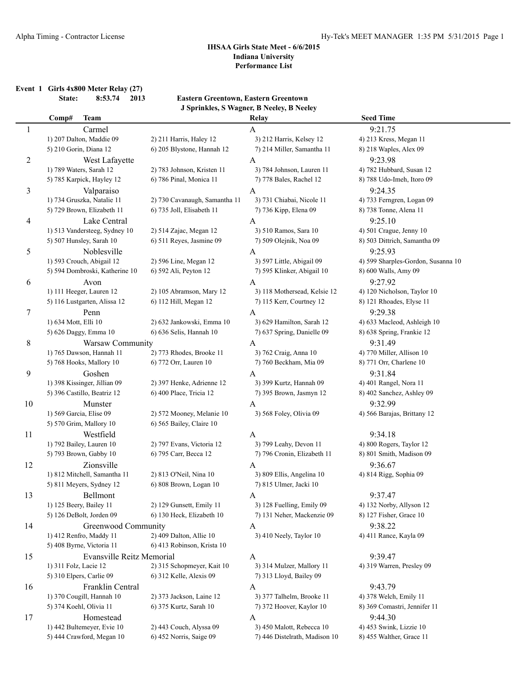**Event 1 Girls 4x800 Meter Relay (27)**

**State: 8:53.74 2013 Eastern Greentown, Eastern Greentown J Sprinkles, S Wagner, B Neeley, B Neeley**

|                | Comp#                 | <b>Team</b>                    |                               | Relay                         | <b>Seed Time</b>                   |
|----------------|-----------------------|--------------------------------|-------------------------------|-------------------------------|------------------------------------|
| 1              |                       | Carmel                         |                               | A                             | 9:21.75                            |
|                |                       | 1) 207 Dalton, Maddie 09       | 2) 211 Harris, Haley 12       | 3) 212 Harris, Kelsey 12      | 4) 213 Kress, Megan 11             |
|                |                       | 5) 210 Gorin, Diana 12         | 6) 205 Blystone, Hannah 12    | 7) 214 Miller, Samantha 11    | 8) 218 Waples, Alex 09             |
| $\overline{2}$ |                       | West Lafayette                 |                               | A                             | 9:23.98                            |
|                |                       | 1) 789 Waters, Sarah 12        | 2) 783 Johnson, Kristen 11    | 3) 784 Johnson, Lauren 11     | 4) 782 Hubbard, Susan 12           |
|                |                       | 5) 785 Karpick, Hayley 12      | 6) 786 Pinal, Monica 11       | 7) 778 Bales, Rachel 12       | 8) 788 Udo-Imeh, Itoro 09          |
| 3              |                       | Valparaiso                     |                               | A                             | 9:24.35                            |
|                |                       | 1) 734 Gruszka, Natalie 11     | 2) 730 Cavanaugh, Samantha 11 | 3) 731 Chiabai, Nicole 11     | 4) 733 Ferngren, Logan 09          |
|                |                       | 5) 729 Brown, Elizabeth 11     | 6) 735 Joll, Elisabeth 11     | 7) 736 Kipp, Elena 09         | 8) 738 Tonne, Alena 11             |
| 4              |                       | Lake Central                   |                               | A                             | 9:25.10                            |
|                |                       | 1) 513 Vandersteeg, Sydney 10  | 2) 514 Zajac, Megan 12        | 3) 510 Ramos, Sara 10         | 4) 501 Crague, Jenny 10            |
|                |                       | 5) 507 Hunsley, Sarah 10       | 6) 511 Reyes, Jasmine 09      | 7) 509 Olejnik, Noa 09        | 8) 503 Dittrich, Samantha 09       |
| 5              |                       | Noblesville                    |                               | $\mathbf{A}$                  | 9:25.93                            |
|                |                       | 1) 593 Crouch, Abigail 12      | 2) 596 Line, Megan 12         | 3) 597 Little, Abigail 09     | 4) 599 Sharples-Gordon, Susanna 10 |
|                |                       | 5) 594 Dombroski, Katherine 10 | 6) 592 Ali, Peyton 12         | 7) 595 Klinker, Abigail 10    | 8) 600 Walls, Amy 09               |
| 6              |                       | Avon                           |                               | $\mathbf{A}$                  | 9:27.92                            |
|                |                       | 1) 111 Heeger, Lauren 12       | 2) 105 Abramson, Mary 12      | 3) 118 Mothersead, Kelsie 12  | 4) 120 Nicholson, Taylor 10        |
|                |                       | 5) 116 Lustgarten, Alissa 12   | 6) 112 Hill, Megan 12         | 7) 115 Kerr, Courtney 12      | 8) 121 Rhoades, Elyse 11           |
| 7              |                       | Penn                           |                               | A                             | 9:29.38                            |
|                | 1) 634 Mott, Elli 10  |                                | 2) 632 Jankowski, Emma 10     | 3) 629 Hamilton, Sarah 12     | 4) 633 Macleod, Ashleigh 10        |
|                |                       | 5) 626 Daggy, Emma 10          | 6) 636 Selis, Hannah 10       | 7) 637 Spring, Danielle 09    | 8) 638 Spring, Frankie 12          |
| 8              |                       | Warsaw Community               |                               | A                             | 9:31.49                            |
|                |                       | 1) 765 Dawson, Hannah 11       | 2) 773 Rhodes, Brooke 11      | 3) 762 Craig, Anna 10         | 4) 770 Miller, Allison 10          |
|                |                       | 5) 768 Hooks, Mallory 10       | 6) 772 Orr, Lauren 10         | 7) 760 Beckham, Mia 09        | 8) 771 Orr, Charlene 10            |
| 9              |                       | Goshen                         |                               | A                             | 9:31.84                            |
|                |                       | 1) 398 Kissinger, Jillian 09   | 2) 397 Henke, Adrienne 12     | 3) 399 Kurtz, Hannah 09       | 4) 401 Rangel, Nora 11             |
|                |                       | 5) 396 Castillo, Beatriz 12    | 6) 400 Place, Tricia 12       | 7) 395 Brown, Jasmyn 12       | 8) 402 Sanchez, Ashley 09          |
| 10             |                       | Munster                        |                               | A                             | 9:32.99                            |
|                |                       | 1) 569 Garcia, Elise 09        | 2) 572 Mooney, Melanie 10     | 3) 568 Foley, Olivia 09       | 4) 566 Barajas, Brittany 12        |
|                |                       | 5) 570 Grim, Mallory 10        | 6) 565 Bailey, Claire 10      |                               |                                    |
| 11             |                       | Westfield                      |                               | A                             | 9:34.18                            |
|                |                       | 1) 792 Bailey, Lauren 10       | 2) 797 Evans, Victoria 12     | 3) 799 Leahy, Devon 11        | 4) 800 Rogers, Taylor 12           |
|                |                       | 5) 793 Brown, Gabby 10         | 6) 795 Carr, Becca 12         | 7) 796 Cronin, Elizabeth 11   | 8) 801 Smith, Madison 09           |
| 12             |                       | Zionsville                     |                               | A                             | 9:36.67                            |
|                |                       | 1) 812 Mitchell, Samantha 11   | 2) 813 O'Neil, Nina 10        | 3) 809 Ellis, Angelina 10     | 4) 814 Rigg, Sophia 09             |
|                |                       | 5) 811 Meyers, Sydney 12       | 6) 808 Brown, Logan 10        | 7) 815 Ulmer, Jacki 10        |                                    |
| 13             |                       | Bellmont                       |                               | A                             | 9:37.47                            |
|                |                       | 1) 125 Beery, Bailey 11        | 2) 129 Gunsett, Emily 11      | 3) 128 Fuelling, Emily 09     | 4) 132 Norby, Allyson 12           |
|                |                       | 5) 126 DeBolt, Jorden 09       | 6) 130 Heck, Elizabeth 10     | 7) 131 Neher, Mackenzie 09    | 8) 127 Fisher, Grace 10            |
| 14             |                       | Greenwood Community            |                               | A                             | 9:38.22                            |
|                |                       | 1) 412 Renfro, Maddy 11        | 2) 409 Dalton, Allie 10       | 3) 410 Neely, Taylor 10       | 4) 411 Rance, Kayla 09             |
|                |                       | 5) 408 Byrne, Victoria 11      | 6) 413 Robinson, Krista 10    |                               |                                    |
| 15             |                       | Evansville Reitz Memorial      |                               | $\mathbf{A}$                  | 9:39.47                            |
|                | 1) 311 Folz, Lacie 12 |                                | 2) 315 Schopmeyer, Kait 10    | 3) 314 Mulzer, Mallory 11     | 4) 319 Warren, Presley 09          |
|                |                       | 5) 310 Elpers, Carlie 09       | 6) 312 Kelle, Alexis 09       | 7) 313 Lloyd, Bailey 09       |                                    |
| 16             |                       | Franklin Central               |                               | A                             | 9:43.79                            |
|                |                       | 1) 370 Cougill, Hannah 10      | 2) 373 Jackson, Laine 12      | 3) 377 Talhelm, Brooke 11     | 4) 378 Welch, Emily 11             |
|                |                       | 5) 374 Koehl, Olivia 11        | 6) 375 Kurtz, Sarah 10        | 7) 372 Hoover, Kaylor 10      | 8) 369 Comastri, Jennifer 11       |
| 17             |                       | Homestead                      |                               | A                             | 9:44.30                            |
|                |                       | 1) 442 Bultemeyer, Evie 10     | 2) 443 Couch, Alyssa 09       | 3) 450 Malott, Rebecca 10     | 4) 453 Swink, Lizzie 10            |
|                |                       | 5) 444 Crawford, Megan 10      | 6) 452 Norris, Saige 09       | 7) 446 Distelrath, Madison 10 | 8) 455 Walther, Grace 11           |
|                |                       |                                |                               |                               |                                    |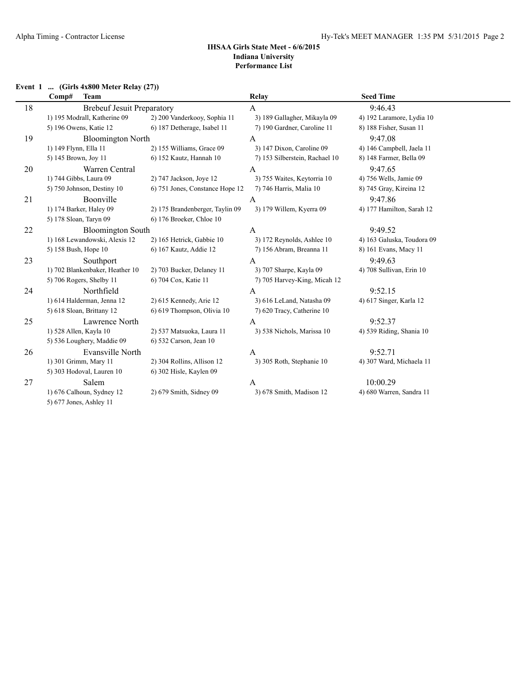#### **Event 1 ... (Girls 4x800 Meter Relay (27))**

|    | Comp#<br><b>Team</b>              |                                 | Relay                          | <b>Seed Time</b>           |
|----|-----------------------------------|---------------------------------|--------------------------------|----------------------------|
| 18 | <b>Brebeuf Jesuit Preparatory</b> |                                 | A                              | 9:46.43                    |
|    | 1) 195 Modrall, Katherine 09      | 2) 200 Vanderkooy, Sophia 11    | 3) 189 Gallagher, Mikayla 09   | 4) 192 Laramore, Lydia 10  |
|    | 5) 196 Owens, Katie 12            | 6) 187 Detherage, Isabel 11     | 7) 190 Gardner, Caroline 11    | 8) 188 Fisher, Susan 11    |
| 19 | <b>Bloomington North</b>          |                                 | $\mathbf{A}$                   | 9:47.08                    |
|    | 1) 149 Flynn, Ella 11             | 2) 155 Williams, Grace 09       | 3) 147 Dixon, Caroline 09      | 4) 146 Campbell, Jaela 11  |
|    | 5) 145 Brown, Joy 11              | 6) 152 Kautz, Hannah 10         | 7) 153 Silberstein, Rachael 10 | 8) 148 Farmer, Bella 09    |
| 20 | Warren Central                    |                                 | A                              | 9:47.65                    |
|    | 1) 744 Gibbs, Laura 09            | 2) 747 Jackson, Joye 12         | 3) 755 Waites, Keytorria 10    | 4) 756 Wells, Jamie 09     |
|    | 5) 750 Johnson, Destiny 10        | 6) 751 Jones, Constance Hope 12 | 7) 746 Harris, Malia 10        | 8) 745 Gray, Kireina 12    |
| 21 | Boonville                         |                                 | A                              | 9:47.86                    |
|    | 1) 174 Barker, Haley 09           | 2) 175 Brandenberger, Taylin 09 | 3) 179 Willem, Kyerra 09       | 4) 177 Hamilton, Sarah 12  |
|    | 5) 178 Sloan, Taryn 09            | 6) 176 Broeker, Chloe 10        |                                |                            |
| 22 | <b>Bloomington South</b>          |                                 | A                              | 9:49.52                    |
|    | 1) 168 Lewandowski, Alexis 12     | 2) 165 Hetrick, Gabbie 10       | 3) 172 Reynolds, Ashlee 10     | 4) 163 Galuska, Toudora 09 |
|    | 5) 158 Bush, Hope 10              | 6) 167 Kautz, Addie 12          | 7) 156 Abram, Breanna 11       | 8) 161 Evans, Macy 11      |
| 23 | Southport                         |                                 | A                              | 9:49.63                    |
|    | 1) 702 Blankenbaker, Heather 10   | 2) 703 Bucker, Delaney 11       | 3) 707 Sharpe, Kayla 09        | 4) 708 Sullivan, Erin 10   |
|    | 5) 706 Rogers, Shelby 11          | 6) 704 Cox, Katie 11            | 7) 705 Harvey-King, Micah 12   |                            |
| 24 | Northfield                        |                                 | A                              | 9:52.15                    |
|    | 1) 614 Halderman, Jenna 12        | 2) 615 Kennedy, Arie 12         | 3) 616 LeLand, Natasha 09      | 4) 617 Singer, Karla 12    |
|    | 5) 618 Sloan, Brittany 12         | 6) 619 Thompson, Olivia 10      | 7) 620 Tracy, Catherine 10     |                            |
| 25 | Lawrence North                    |                                 | A                              | 9:52.37                    |
|    | 1) 528 Allen, Kayla 10            | 2) 537 Matsuoka, Laura 11       | 3) 538 Nichols, Marissa 10     | 4) 539 Riding, Shania 10   |
|    | 5) 536 Loughery, Maddie 09        | 6) 532 Carson, Jean 10          |                                |                            |
| 26 | Evansville North                  |                                 | A                              | 9:52.71                    |
|    | 1) 301 Grimm, Mary 11             | 2) 304 Rollins, Allison 12      | 3) 305 Roth, Stephanie 10      | 4) 307 Ward, Michaela 11   |
|    | 5) 303 Hodoval, Lauren 10         | 6) 302 Hisle, Kaylen 09         |                                |                            |
| 27 | Salem                             |                                 | A                              | 10:00.29                   |
|    | 1) 676 Calhoun, Sydney 12         | 2) 679 Smith, Sidney 09         | 3) 678 Smith, Madison 12       | 4) 680 Warren, Sandra 11   |
|    | 5) 677 Jones, Ashley 11           |                                 |                                |                            |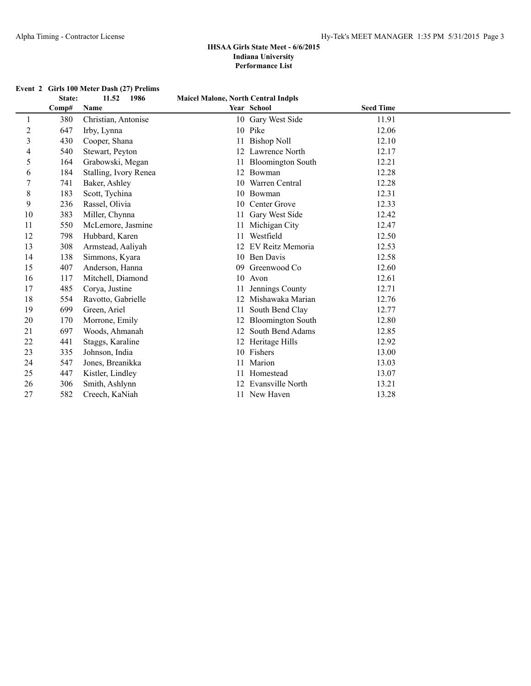|    | State: | 1986<br>11.52         | <b>Maicel Malone, North Central Indpls</b> |                          |                  |  |
|----|--------|-----------------------|--------------------------------------------|--------------------------|------------------|--|
|    | Comp#  | Name                  |                                            | Year School              | <b>Seed Time</b> |  |
| 1  | 380    | Christian, Antonise   |                                            | 10 Gary West Side        | 11.91            |  |
| 2  | 647    | Irby, Lynna           |                                            | 10 Pike                  | 12.06            |  |
| 3  | 430    | Cooper, Shana         | 11                                         | <b>Bishop Noll</b>       | 12.10            |  |
| 4  | 540    | Stewart, Peyton       |                                            | 12 Lawrence North        | 12.17            |  |
| 5  | 164    | Grabowski, Megan      | 11                                         | <b>Bloomington South</b> | 12.21            |  |
| 6  | 184    | Stalling, Ivory Renea | 12                                         | Bowman                   | 12.28            |  |
| 7  | 741    | Baker, Ashley         | 10                                         | Warren Central           | 12.28            |  |
| 8  | 183    | Scott, Tychina        | 10                                         | Bowman                   | 12.31            |  |
| 9  | 236    | Rassel, Olivia        | 10                                         | Center Grove             | 12.33            |  |
| 10 | 383    | Miller, Chynna        |                                            | Gary West Side           | 12.42            |  |
| 11 | 550    | McLemore, Jasmine     |                                            | 11 Michigan City         | 12.47            |  |
| 12 | 798    | Hubbard, Karen        |                                            | Westfield                | 12.50            |  |
| 13 | 308    | Armstead, Aaliyah     | 12                                         | EV Reitz Memoria         | 12.53            |  |
| 14 | 138    | Simmons, Kyara        |                                            | 10 Ben Davis             | 12.58            |  |
| 15 | 407    | Anderson, Hanna       | 09                                         | Greenwood Co             | 12.60            |  |
| 16 | 117    | Mitchell, Diamond     | 10                                         | Avon                     | 12.61            |  |
| 17 | 485    | Corya, Justine        |                                            | Jennings County          | 12.71            |  |
| 18 | 554    | Ravotto, Gabrielle    |                                            | Mishawaka Marian         | 12.76            |  |
| 19 | 699    | Green, Ariel          |                                            | South Bend Clay          | 12.77            |  |
| 20 | 170    | Morrone, Emily        |                                            | <b>Bloomington South</b> | 12.80            |  |
| 21 | 697    | Woods, Ahmanah        | 12                                         | South Bend Adams         | 12.85            |  |
| 22 | 441    | Staggs, Karaline      | 12                                         | Heritage Hills           | 12.92            |  |
| 23 | 335    | Johnson, India        |                                            | 10 Fishers               | 13.00            |  |
| 24 | 547    | Jones, Breanikka      | 11                                         | Marion                   | 13.03            |  |
| 25 | 447    | Kistler, Lindley      |                                            | Homestead                | 13.07            |  |
| 26 | 306    | Smith, Ashlynn        |                                            | <b>Evansville North</b>  | 13.21            |  |
| 27 | 582    | Creech, KaNiah        |                                            | 11 New Haven             | 13.28            |  |

### **Event 2 Girls 100 Meter Dash (27) Prelims**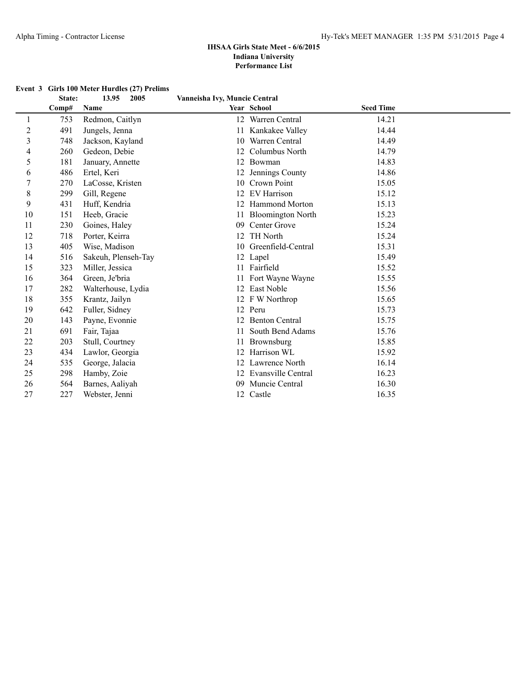#### **State: 13.95 2005 Vanneisha Ivy, Muncie Central Comp# Name Year School Seed Time** 1 753 Redmon, Caitlyn 12 Warren Central 14.21 2 491 Jungels, Jenna 11 Kankakee Valley 14.44 3 748 Jackson, Kayland 10 Warren Central 14.49 4 260 Gedeon, Debie 12 Columbus North 14.79 5 181 January, Annette 12 Bowman 14.83 6 486 Ertel, Keri 12 Jennings County 14.86 7 270 LaCosse, Kristen 10 Crown Point 15.05 8 299 Gill, Regene 12 EV Harrison 15.12 9 431 Huff, Kendria 12 Hammond Morton 15.13 10 151 Heeb, Gracie 11 Bloomington North 15.23 11 230 Goines, Haley 09 Center Grove 15.24 12 718 Porter, Keirra 12 TH North 15.24 13 405 Wise, Madison 10 Greenfield-Central 15.31 14 516 Sakeuh, Plenseh-Tay 12 Lapel 15.49 15 323 Miller, Jessica 11 Fairfield 15.52 16 364 Green, Je'bria 11 Fort Wayne Wayne 15.55 17 282 Walterhouse, Lydia 12 East Noble 15.56 18 355 Krantz, Jailyn 12 F W Northrop 15.65 19 642 Fuller, Sidney 12 Peru 15.73 20 143 Payne, Evonnie 12 Benton Central 15.75 21 691 Fair, Tajaa 11 South Bend Adams 15.76 22 203 Stull, Courtney 11 Brownsburg 15.85 23 434 Lawlor, Georgia 12 Harrison WL 15.92 24 535 George, Jalacia 12 Lawrence North 16.14 25 298 Hamby, Zoie 12 Evansville Central 16.23 26 564 Barnes, Aaliyah 09 Muncie Central 16.30 27 227 Webster, Jenni 12 Castle 16.35

#### **Event 3 Girls 100 Meter Hurdles (27) Prelims**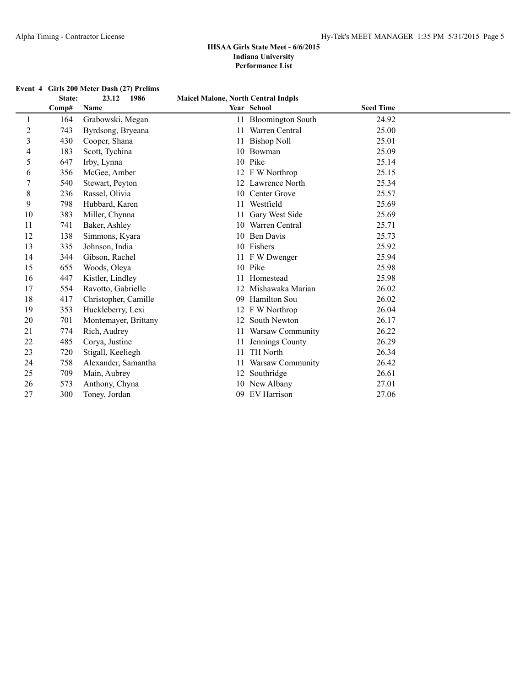|  | Event 4 Girls 200 Meter Dash (27) Prelims |  |  |  |
|--|-------------------------------------------|--|--|--|
|--|-------------------------------------------|--|--|--|

|                | State: | 23.12<br>1986        | <b>Maicel Malone, North Central Indpls</b> |                          |                  |  |
|----------------|--------|----------------------|--------------------------------------------|--------------------------|------------------|--|
|                | Comp#  | Name                 |                                            | Year School              | <b>Seed Time</b> |  |
| 1              | 164    | Grabowski, Megan     | 11                                         | <b>Bloomington South</b> | 24.92            |  |
| $\overline{c}$ | 743    | Byrdsong, Bryeana    |                                            | Warren Central           | 25.00            |  |
| 3              | 430    | Cooper, Shana        | 11                                         | <b>Bishop Noll</b>       | 25.01            |  |
| 4              | 183    | Scott, Tychina       | 10                                         | Bowman                   | 25.09            |  |
| 5              | 647    | Irby, Lynna          | 10                                         | Pike                     | 25.14            |  |
| 6              | 356    | McGee, Amber         |                                            | 12 F W Northrop          | 25.15            |  |
| 7              | 540    | Stewart, Peyton      |                                            | 12 Lawrence North        | 25.34            |  |
| 8              | 236    | Rassel, Olivia       | 10                                         | Center Grove             | 25.57            |  |
| 9              | 798    | Hubbard, Karen       |                                            | Westfield                | 25.69            |  |
| 10             | 383    | Miller, Chynna       |                                            | Gary West Side           | 25.69            |  |
| 11             | 741    | Baker, Ashley        |                                            | Warren Central           | 25.71            |  |
| 12             | 138    | Simmons, Kyara       | 10                                         | <b>Ben Davis</b>         | 25.73            |  |
| 13             | 335    | Johnson, India       |                                            | 10 Fishers               | 25.92            |  |
| 14             | 344    | Gibson, Rachel       |                                            | 11 F W Dwenger           | 25.94            |  |
| 15             | 655    | Woods, Oleya         |                                            | 10 Pike                  | 25.98            |  |
| 16             | 447    | Kistler, Lindley     |                                            | Homestead                | 25.98            |  |
| 17             | 554    | Ravotto, Gabrielle   |                                            | Mishawaka Marian         | 26.02            |  |
| 18             | 417    | Christopher, Camille | 09                                         | Hamilton Sou             | 26.02            |  |
| 19             | 353    | Huckleberry, Lexi    |                                            | 12 F W Northrop          | 26.04            |  |
| 20             | 701    | Montemayer, Brittany |                                            | South Newton             | 26.17            |  |
| 21             | 774    | Rich, Audrey         |                                            | 11 Warsaw Community      | 26.22            |  |
| 22             | 485    | Corya, Justine       |                                            | Jennings County          | 26.29            |  |
| 23             | 720    | Stigall, Keeliegh    | 11                                         | TH North                 | 26.34            |  |
| 24             | 758    | Alexander, Samantha  |                                            | Warsaw Community         | 26.42            |  |
| 25             | 709    | Main, Aubrey         | 12                                         | Southridge               | 26.61            |  |
| 26             | 573    | Anthony, Chyna       |                                            | 10 New Albany            | 27.01            |  |
| 27             | 300    | Toney, Jordan        | 09                                         | EV Harrison              | 27.06            |  |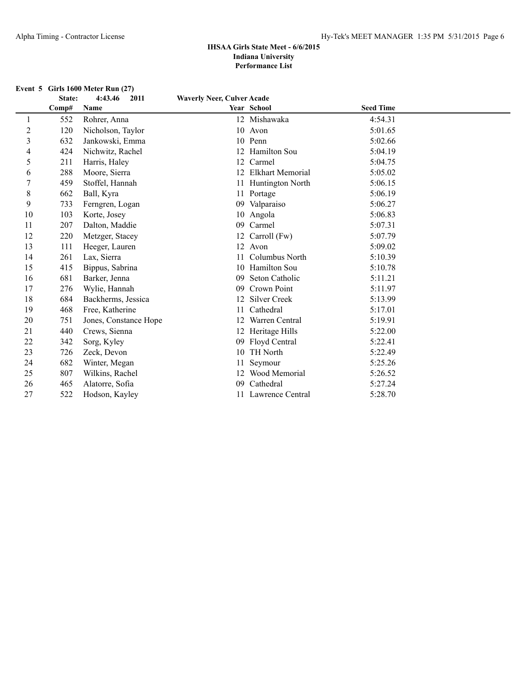| Event $5$ Girls 1600 Meter Run $(27)$ |  |  |  |
|---------------------------------------|--|--|--|
|                                       |  |  |  |

|    | State: | 2011<br>4:43.46       | <b>Waverly Neer, Culver Acade</b> |                     |                  |  |
|----|--------|-----------------------|-----------------------------------|---------------------|------------------|--|
|    | Comp#  | Name                  |                                   | Year School         | <b>Seed Time</b> |  |
| 1  | 552    | Rohrer, Anna          |                                   | 12 Mishawaka        | 4:54.31          |  |
| 2  | 120    | Nicholson, Taylor     |                                   | 10 Avon             | 5:01.65          |  |
| 3  | 632    | Jankowski, Emma       | 10                                | Penn                | 5:02.66          |  |
| 4  | 424    | Nichwitz, Rachel      | 12                                | Hamilton Sou        | 5:04.19          |  |
| 5  | 211    | Harris, Haley         | 12                                | Carmel              | 5:04.75          |  |
| 6  | 288    | Moore, Sierra         |                                   | Elkhart Memorial    | 5:05.02          |  |
| 7  | 459    | Stoffel, Hannah       |                                   | Huntington North    | 5:06.15          |  |
| 8  | 662    | Ball, Kyra            | 11                                | Portage             | 5:06.19          |  |
| 9  | 733    | Ferngren, Logan       |                                   | 09 Valparaiso       | 5:06.27          |  |
| 10 | 103    | Korte, Josey          | 10                                | Angola              | 5:06.83          |  |
| 11 | 207    | Dalton, Maddie        | 09                                | Carmel              | 5:07.31          |  |
| 12 | 220    | Metzger, Stacey       | 12                                | Carroll (Fw)        | 5:07.79          |  |
| 13 | 111    | Heeger, Lauren        | 12                                | Avon                | 5:09.02          |  |
| 14 | 261    | Lax, Sierra           |                                   | Columbus North      | 5:10.39          |  |
| 15 | 415    | Bippus, Sabrina       | 10                                | <b>Hamilton Sou</b> | 5:10.78          |  |
| 16 | 681    | Barker, Jenna         | 09                                | Seton Catholic      | 5:11.21          |  |
| 17 | 276    | Wylie, Hannah         | 09                                | Crown Point         | 5:11.97          |  |
| 18 | 684    | Backherms, Jessica    |                                   | <b>Silver Creek</b> | 5:13.99          |  |
| 19 | 468    | Free, Katherine       |                                   | Cathedral           | 5:17.01          |  |
| 20 | 751    | Jones, Constance Hope |                                   | Warren Central      | 5:19.91          |  |
| 21 | 440    | Crews, Sienna         |                                   | Heritage Hills      | 5:22.00          |  |
| 22 | 342    | Sorg, Kyley           | 09                                | Floyd Central       | 5:22.41          |  |
| 23 | 726    | Zeck, Devon           | 10                                | <b>TH North</b>     | 5:22.49          |  |
| 24 | 682    | Winter, Megan         |                                   | Seymour             | 5:25.26          |  |
| 25 | 807    | Wilkins, Rachel       |                                   | Wood Memorial       | 5:26.52          |  |
| 26 | 465    | Alatorre, Sofia       | 09                                | Cathedral           | 5:27.24          |  |
| 27 | 522    | Hodson, Kayley        |                                   | 11 Lawrence Central | 5:28.70          |  |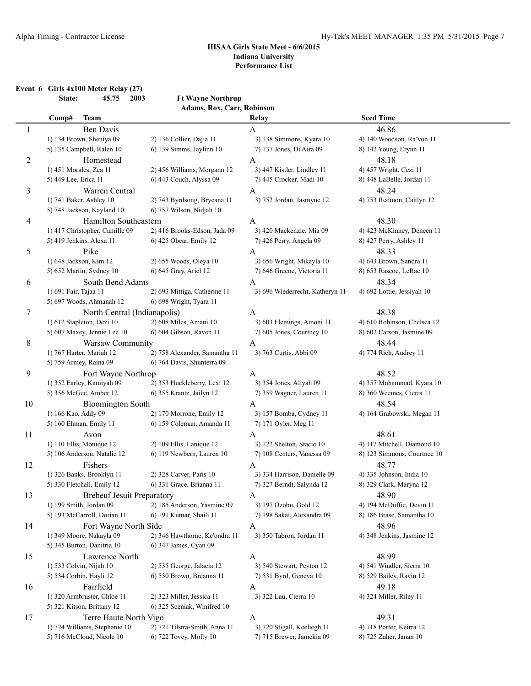**Event 6 Girls 4x100 Meter Relay (27)**

**State: 45.75 2003 Ft Wayne Northrup Adams, Rox, Carr, Robinson**

|              | Comp#                  | <b>Team</b>                       |                               | Relay                           | <b>Seed Time</b>            |
|--------------|------------------------|-----------------------------------|-------------------------------|---------------------------------|-----------------------------|
| $\mathbf{1}$ |                        | <b>Ben Davis</b>                  |                               | A                               | 46.86                       |
|              |                        | 1) 134 Brown, Sheniya 09          | 2) 136 Collier, Dajia 11      | 3) 138 Simmons, Kyara 10        | 4) 140 Woodson, Ra'Von 11   |
|              |                        | 5) 135 Campbell, Ralen 10         | 6) 139 Simms, Jaylinn 10      | 7) 137 Jones, Di'Aira 09        | 8) 142 Young, Erynn 11      |
| 2            |                        | Homestead                         |                               | A                               | 48.18                       |
|              | 1) 451 Morales, Zea 11 |                                   | 2) 456 Williams, Morgann 12   | 3) 447 Kistler, Lindley 11      | 4) 457 Wright, Cezi 11      |
|              | 5) 449 Lee, Erica 11   |                                   | 6) 443 Couch, Alyssa 09       | 7) 445 Crocker, Madi 10         | 8) 448 LaBelle, Jordan 11   |
| 3            |                        | Warren Central                    |                               | A                               | 48.24                       |
|              |                        | 1) 741 Baker, Ashley 10           | 2) 743 Byrdsong, Bryeana 11   | 3) 752 Jordan, Jasmyne 12       | 4) 753 Redmon, Caitlyn 12   |
|              |                        | 5) 748 Jackson, Kayland 10        | 6) 757 Wilson, Nidjah 10      |                                 |                             |
| 4            |                        | Hamilton Southeastern             |                               | A                               | 48.30                       |
|              |                        | 1) 417 Christopher, Camille 09    | 2) 416 Brooks-Edson, Jada 09  | 3) 420 Mackenzie, Mia 09        | 4) 423 McKinney, Deneen 11  |
|              |                        | 5) 419 Jenkins, Alexa 11          | 6) 425 Obear, Emily 12        | 7) 426 Perry, Angela 09         | 8) 427 Perry, Ashley 11     |
| 5            |                        | Pike                              |                               | A                               | 48.33                       |
|              |                        | 1) 648 Jackson, Kim 12            | 2) 655 Woods, Oleya 10        | 3) 656 Wright, Mikayla 10       | 4) 643 Brown, Sandra 11     |
|              |                        | 5) 652 Martin, Sydney 10          | 6) 645 Gray, Ariel 12         | 7) 646 Greene, Victoria 11      | 8) 653 Rascoe, LeRae 10     |
| 6            |                        | South Bend Adams                  |                               | A                               | 48.34                       |
|              | 1) 691 Fair, Tajaa 11  |                                   | 2) 693 Mittiga, Catherine 11  | 3) 696 Wiederrecht, Katheryn 11 | 4) 692 Lottie, Jessiyah 10  |
|              |                        | 5) 697 Woods, Ahmanah 12          | 6) 698 Wright, Tyara 11       |                                 |                             |
| 7            |                        | North Central (Indianapolis)      |                               | A                               | 48.38                       |
|              |                        | 1) 612 Stapleton, Dezi 10         | 2) 608 Miles, Amani 10        | 3) 603 Flemings, Amoni 11       | 4) 610 Robinson, Chelsea 12 |
|              |                        | 5) 607 Maxey, Jennie Lee 10       | 6) 604 Gibson, Raven 11       | 7) 605 Jones, Courtney 10       | 8) 602 Carson, Jasmine 09   |
| 8            |                        | Warsaw Community                  |                               | $\mathbf{A}$                    | 48.44                       |
|              |                        | 1) 767 Harter, Mariah 12          | 2) 758 Alexander, Samantha 11 | 3) 763 Curtis, Abbi 09          | 4) 774 Rich, Audrey 11      |
|              |                        | 5) 759 Armey, Raina 09            | 6) 764 Davis, Shunterra 09    |                                 |                             |
| 9            |                        | Fort Wayne Northrop               |                               | A                               | 48.52                       |
|              |                        | 1) 352 Earley, Kamiyah 09         | 2) 353 Huckleberry, Lexi 12   | 3) 354 Jones, Aliyah 09         | 4) 357 Muhammad, Kyara 10   |
|              |                        | 5) 356 McGee, Amber 12            | 6) 355 Krantz, Jailyn 12      | 7) 359 Wagner, Lauren 11        | 8) 360 Weemes, Cierra 11    |
| 10           |                        | <b>Bloomington South</b>          |                               | A                               | 48.54                       |
|              | 1) 166 Kao, Addy 09    |                                   | 2) 170 Morrone, Emily 12      | 3) 157 Bomba, Cydney 11         | 4) 164 Grabowski, Megan 11  |
|              |                        | 5) 160 Ehman, Emily 11            | 6) 159 Coleman, Amanda 11     | 7) 171 Oyler, Meg 11            |                             |
| 11           |                        | Avon                              |                               | A                               | 48.61                       |
|              |                        | 1) 110 Ellis, Monique 12          | 2) 109 Ellis, Lanique 12      | 3) 122 Shelton, Stacie 10       | 4) 117 Mitchell, Diamond 10 |
|              |                        | 5) 106 Anderson, Natalie 12       | 6) 119 Newbern, Lauren 10     | 7) 108 Centers, Vanessa 09      | 8) 123 Simmons, Courtnee 10 |
| 12           |                        | Fishers                           |                               | A                               | 48.77                       |
|              |                        | 1) 326 Banks, Brooklyn 11         | 2) 328 Carver, Paris 10       | 3) 334 Harrison, Danielle 09    | 4) 335 Johnson, India 10    |
|              |                        | 5) 330 Fletchall, Emily 12        | 6) 331 Grace, Brianna 11      | 7) 327 Berndt, Salynda 12       | 8) 329 Clark, Maryna 12     |
| 13           |                        | <b>Brebeuf Jesuit Preparatory</b> |                               | A                               | 48.90                       |
|              |                        | 1) 199 Smith, Jordan 09           | 2) 185 Anderson, Yasmine 09   | 3) 197 Ozobu, Gold 12           | 4) 194 McDuffie, Devin 11   |
|              |                        | 5) 193 McCarroll, Dorian 11       | 6) 191 Kumar, Shaili 11       | 7) 198 Sakai, Alexandra 09      | 8) 186 Brase, Samantha 10   |
| 14           |                        | Fort Wayne North Side             |                               | A                               | 48.96                       |
|              |                        | 1) 349 Moore, Nakayla 09          | 2) 346 Hawthorne, Ke'ondra 11 | 3) 350 Tabron, Jordan 11        | 4) 348 Jenkins, Jasmine 12  |
|              |                        | 5) 345 Burton, Danitria 10        | 6) 347 James, Cyan 09         |                                 |                             |
| 15           |                        | Lawrence North                    |                               | $\mathbf{A}$                    | 48.99                       |
|              |                        | 1) 533 Colvin, Nijah 10           | 2) 535 George, Jalacia 12     | 3) 540 Stewart, Peyton 12       | 4) 541 Windler, Sierra 10   |
|              |                        | 5) 534 Corbin, Hayli 12           | 6) 530 Brown, Breanna 11      | 7) 531 Byrd, Geneva 10          | 8) 529 Bailey, Ravin 12     |
| 16           |                        | Fairfield                         |                               | A                               | 49.18                       |
|              |                        | 1) 320 Armbruster, Chloe 11       | 2) 323 Miller, Jessica 11     | 3) 322 Lau, Cierra 10           | 4) 324 Miller, Riley 11     |
|              |                        | 5) 321 Kitson, Brittany 12        | 6) 325 Sceniak, Winifred 10   |                                 |                             |
| 17           |                        | Terre Haute North Vigo            |                               | A                               | 49.31                       |
|              |                        | 1) 724 Williams, Stephanie 10     | 2) 721 Tilstra-Smith, Anna 11 | 3) 720 Stigall, Keeliegh 11     | 4) 718 Porter, Keirra 12    |
|              |                        | 5) 716 McCloud, Nicole 10         | 6) 722 Tovey, Molly 10        | 7) 715 Brewer, Jamekia 09       | 8) 725 Zaher, Janan 10      |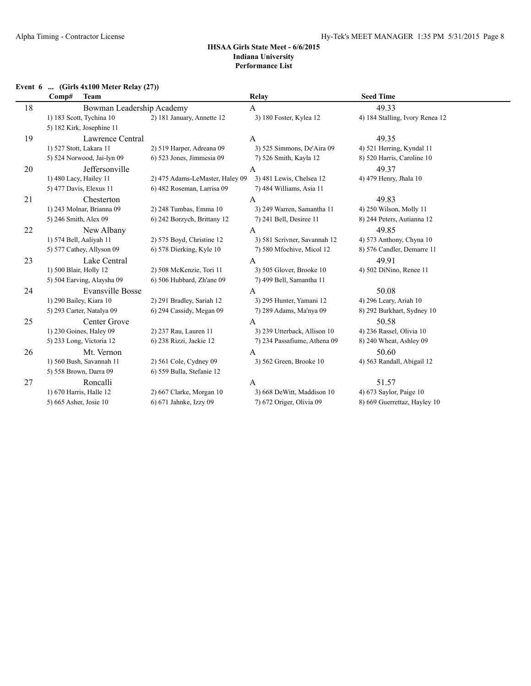### **Event 6 ... (Girls 4x100 Meter Relay (27))**

|    | Comp#<br><b>Team</b>       |                                 | Relay                        | <b>Seed Time</b>                |
|----|----------------------------|---------------------------------|------------------------------|---------------------------------|
| 18 | Bowman Leadership Academy  |                                 | A                            | 49.33                           |
|    | 1) 183 Scott, Tychina 10   | 2) 181 January, Annette 12      | 3) 180 Foster, Kylea 12      | 4) 184 Stalling, Ivory Renea 12 |
|    | 5) 182 Kirk, Josephine 11  |                                 |                              |                                 |
| 19 | Lawrence Central           |                                 | A                            | 49.35                           |
|    | 1) 527 Stott, Lakara 11    | 2) 519 Harper, Adreana 09       | 3) 525 Simmons, De'Aira 09   | 4) 521 Herring, Kyndal 11       |
|    | 5) 524 Norwood, Jai-lyn 09 | 6) 523 Jones, Jimmesia 09       | 7) 526 Smith, Kayla 12       | 8) 520 Harris, Caroline 10      |
| 20 | Jeffersonville             |                                 | A                            | 49.37                           |
|    | 1) 480 Lacy, Hailey 11     | 2) 475 Adams-LeMaster, Haley 09 | 3) 481 Lewis, Chelsea 12     | 4) 479 Henry, Jhala 10          |
|    | 5) 477 Davis, Elexus 11    | 6) 482 Roseman, Larrisa 09      | 7) 484 Williams, Asia 11     |                                 |
| 21 | Chesterton                 |                                 | A                            | 49.83                           |
|    | 1) 243 Molnar, Brianna 09  | 2) 248 Tumbas, Emma 10          | 3) 249 Warren, Samantha 11   | 4) 250 Wilson, Molly 11         |
|    | 5) 246 Smith, Alex 09      | 6) 242 Borzych, Brittany 12     | 7) 241 Bell, Desiree 11      | 8) 244 Peters, Autianna 12      |
| 22 | New Albany                 |                                 | A                            | 49.85                           |
|    | 1) 574 Bell, Aaliyah 11    | 2) 575 Boyd, Christine 12       | 3) 581 Scrivner, Savannah 12 | 4) 573 Anthony, Chyna 10        |
|    | 5) 577 Cathey, Allyson 09  | 6) 578 Dierking, Kyle 10        | 7) 580 Mfochive, Micol 12    | 8) 576 Candler, Demarre 11      |
| 23 | Lake Central               |                                 | A                            | 49.91                           |
|    | 1) 500 Blair, Holly 12     | 2) 508 McKenzie, Tori 11        | 3) 505 Glover, Brooke 10     | 4) 502 DiNino, Renee 11         |
|    | 5) 504 Earving, Alaysha 09 | 6) 506 Hubbard, Zh'ane 09       | 7) 499 Bell, Samantha 11     |                                 |
| 24 | Evansville Bosse           |                                 | $\mathbf{A}$                 | 50.08                           |
|    | 1) 290 Bailey, Kiara 10    | 2) 291 Bradley, Sariah 12       | 3) 295 Hunter, Yamani 12     | 4) 296 Leary, Ariah 10          |
|    | 5) 293 Carter, Natalya 09  | 6) 294 Cassidy, Megan 09        | 7) 289 Adams, Ma'nya 09      | 8) 292 Burkhart, Sydney 10      |
| 25 | Center Grove               |                                 | A                            | 50.58                           |
|    | 1) 230 Goines, Haley 09    | 2) 237 Rau, Lauren 11           | 3) 239 Utterback, Allison 10 | 4) 236 Rassel, Olivia 10        |
|    | 5) 233 Long, Victoria 12   | 6) 238 Rizzi, Jackie 12         | 7) 234 Passafiume, Athena 09 | 8) 240 Wheat, Ashley 09         |
| 26 | Mt. Vernon                 |                                 | A                            | 50.60                           |
|    | 1) 560 Bush, Savannah 11   | 2) 561 Cole, Cydney 09          | 3) 562 Green, Brooke 10      | 4) 563 Randall, Abigail 12      |
|    | 5) 558 Brown, Darra 09     | 6) 559 Bulla, Stefanie 12       |                              |                                 |
| 27 | Roncalli                   |                                 | A                            | 51.57                           |
|    | 1) 670 Harris, Halle 12    | 2) 667 Clarke, Morgan 10        | 3) 668 DeWitt, Maddison 10   | 4) 673 Saylor, Paige 10         |
|    | 5) 665 Asher, Josie 10     | 6) 671 Jahnke, Izzy 09          | 7) 672 Origer, Olivia 09     | 8) 669 Guerrettaz, Hayley 10    |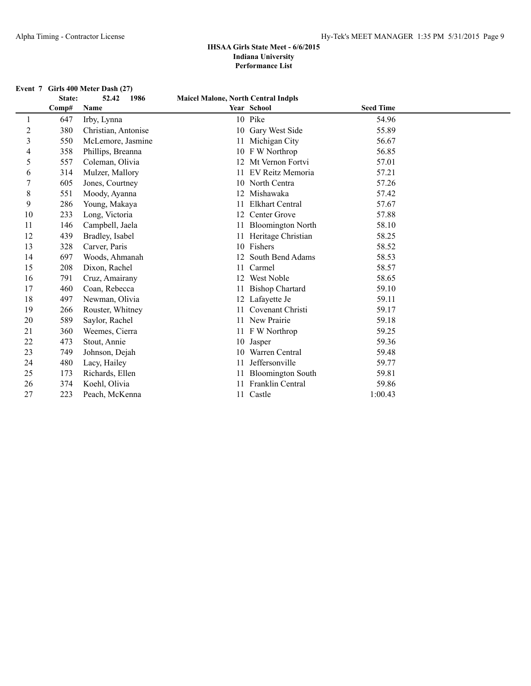## **Event 7 Girls 400 Meter Dash (27)**<br>**State:** 52.42 1986

|    | State: | 1986<br>52.42       | <b>Maicel Malone, North Central Indpls</b> |                        |                  |  |
|----|--------|---------------------|--------------------------------------------|------------------------|------------------|--|
|    | Comp#  | Name                |                                            | Year School            | <b>Seed Time</b> |  |
|    | 647    | Irby, Lynna         |                                            | 10 Pike                | 54.96            |  |
| 2  | 380    | Christian, Antonise |                                            | 10 Gary West Side      | 55.89            |  |
| 3  | 550    | McLemore, Jasmine   |                                            | 11 Michigan City       | 56.67            |  |
| 4  | 358    | Phillips, Breanna   |                                            | 10 F W Northrop        | 56.85            |  |
| 5  | 557    | Coleman, Olivia     |                                            | 12 Mt Vernon Fortvi    | 57.01            |  |
| 6  | 314    | Mulzer, Mallory     |                                            | 11 EV Reitz Memoria    | 57.21            |  |
| 7  | 605    | Jones, Courtney     |                                            | 10 North Centra        | 57.26            |  |
| 8  | 551    | Moody, Ayanna       |                                            | 12 Mishawaka           | 57.42            |  |
| 9  | 286    | Young, Makaya       |                                            | <b>Elkhart Central</b> | 57.67            |  |
| 10 | 233    | Long, Victoria      |                                            | 12 Center Grove        | 57.88            |  |
| 11 | 146    | Campbell, Jaela     |                                            | 11 Bloomington North   | 58.10            |  |
| 12 | 439    | Bradley, Isabel     |                                            | 11 Heritage Christian  | 58.25            |  |
| 13 | 328    | Carver, Paris       |                                            | 10 Fishers             | 58.52            |  |
| 14 | 697    | Woods, Ahmanah      | 12                                         | South Bend Adams       | 58.53            |  |
| 15 | 208    | Dixon, Rachel       | 11                                         | Carmel                 | 58.57            |  |
| 16 | 791    | Cruz, Amairany      | 12                                         | <b>West Noble</b>      | 58.65            |  |
| 17 | 460    | Coan, Rebecca       |                                            | 11 Bishop Chartard     | 59.10            |  |
| 18 | 497    | Newman, Olivia      |                                            | 12 Lafayette Je        | 59.11            |  |
| 19 | 266    | Rouster, Whitney    |                                            | 11 Covenant Christi    | 59.17            |  |
| 20 | 589    | Saylor, Rachel      |                                            | 11 New Prairie         | 59.18            |  |
| 21 | 360    | Weemes, Cierra      |                                            | 11 F W Northrop        | 59.25            |  |
| 22 | 473    | Stout, Annie        |                                            | 10 Jasper              | 59.36            |  |
| 23 | 749    | Johnson, Dejah      |                                            | 10 Warren Central      | 59.48            |  |
| 24 | 480    | Lacy, Hailey        | 11                                         | Jeffersonville         | 59.77            |  |
| 25 | 173    | Richards, Ellen     |                                            | 11 Bloomington South   | 59.81            |  |
| 26 | 374    | Koehl, Olivia       |                                            | 11 Franklin Central    | 59.86            |  |
| 27 | 223    | Peach, McKenna      |                                            | 11 Castle              | 1:00.43          |  |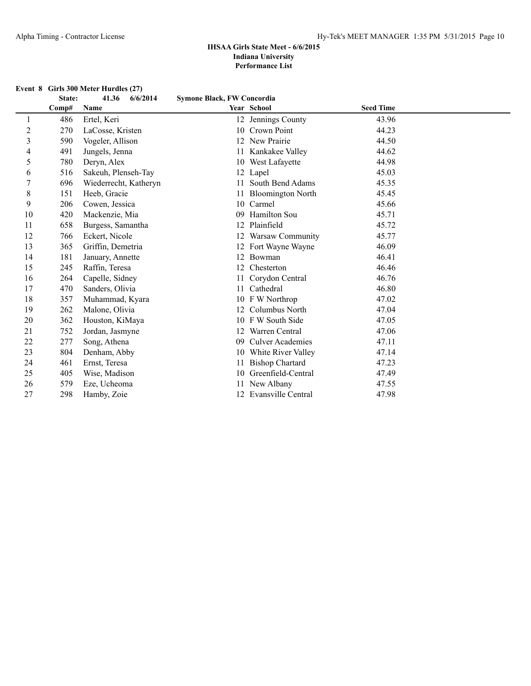#### **Event 8 Girls 300 Meter Hurdles (27)**

|    | State: | 6/6/2014<br>41.36     | Symone Black, FW Concordia |                          |                  |  |
|----|--------|-----------------------|----------------------------|--------------------------|------------------|--|
|    | Comp#  | Name                  |                            | Year School              | <b>Seed Time</b> |  |
| 1  | 486    | Ertel, Keri           |                            | 12 Jennings County       | 43.96            |  |
| 2  | 270    | LaCosse, Kristen      |                            | 10 Crown Point           | 44.23            |  |
| 3  | 590    | Vogeler, Allison      |                            | 12 New Prairie           | 44.50            |  |
| 4  | 491    | Jungels, Jenna        |                            | 11 Kankakee Valley       | 44.62            |  |
| 5  | 780    | Deryn, Alex           |                            | 10 West Lafayette        | 44.98            |  |
| 6  | 516    | Sakeuh, Plenseh-Tay   |                            | 12 Lapel                 | 45.03            |  |
| 7  | 696    | Wiederrecht, Katheryn |                            | South Bend Adams         | 45.35            |  |
| 8  | 151    | Heeb, Gracie          | 11                         | <b>Bloomington North</b> | 45.45            |  |
| 9  | 206    | Cowen, Jessica        | 10                         | Carmel                   | 45.66            |  |
| 10 | 420    | Mackenzie, Mia        | 09                         | Hamilton Sou             | 45.71            |  |
| 11 | 658    | Burgess, Samantha     | 12                         | Plainfield               | 45.72            |  |
| 12 | 766    | Eckert, Nicole        |                            | <b>Warsaw Community</b>  | 45.77            |  |
| 13 | 365    | Griffin, Demetria     |                            | 12 Fort Wayne Wayne      | 46.09            |  |
| 14 | 181    | January, Annette      |                            | Bowman                   | 46.41            |  |
| 15 | 245    | Raffin, Teresa        | 12                         | Chesterton               | 46.46            |  |
| 16 | 264    | Capelle, Sidney       |                            | Corydon Central          | 46.76            |  |
| 17 | 470    | Sanders, Olivia       | 11                         | Cathedral                | 46.80            |  |
| 18 | 357    | Muhammad, Kyara       |                            | 10 F W Northrop          | 47.02            |  |
| 19 | 262    | Malone, Olivia        |                            | Columbus North           | 47.04            |  |
| 20 | 362    | Houston, KiMaya       |                            | 10 F W South Side        | 47.05            |  |
| 21 | 752    | Jordan, Jasmyne       |                            | Warren Central           | 47.06            |  |
| 22 | 277    | Song, Athena          | 09                         | <b>Culver Academies</b>  | 47.11            |  |
| 23 | 804    | Denham, Abby          |                            | 10 White River Valley    | 47.14            |  |
| 24 | 461    | Ernst, Teresa         | 11                         | <b>Bishop Chartard</b>   | 47.23            |  |
| 25 | 405    | Wise, Madison         | 10                         | Greenfield-Central       | 47.49            |  |
| 26 | 579    | Eze, Ucheoma          |                            | New Albany               | 47.55            |  |
| 27 | 298    | Hamby, Zoie           |                            | 12 Evansville Central    | 47.98            |  |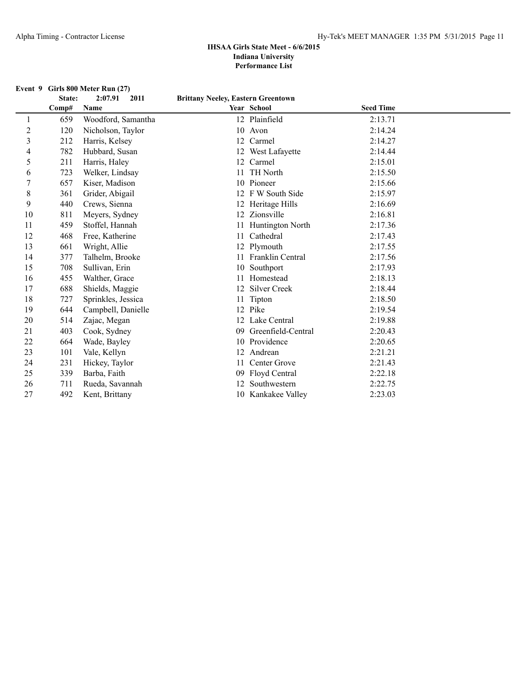#### **Event 9 Girls 800 Meter Run (27)**

|             | State: | 2:07.91<br>2011    | <b>Brittany Neeley, Eastern Greentown</b> |                         |                  |  |
|-------------|--------|--------------------|-------------------------------------------|-------------------------|------------------|--|
|             | Comp#  | Name               |                                           | Year School             | <b>Seed Time</b> |  |
| 1           | 659    | Woodford, Samantha |                                           | 12 Plainfield           | 2:13.71          |  |
| 2           | 120    | Nicholson, Taylor  | 10                                        | Avon                    | 2:14.24          |  |
| 3           | 212    | Harris, Kelsey     | 12                                        | Carmel                  | 2:14.27          |  |
| 4           | 782    | Hubbard, Susan     | 12                                        | West Lafayette          | 2:14.44          |  |
| 5           | 211    | Harris, Haley      | 12                                        | Carmel                  | 2:15.01          |  |
| 6           | 723    | Welker, Lindsay    |                                           | <b>TH</b> North         | 2:15.50          |  |
| 7           | 657    | Kiser, Madison     | 10                                        | Pioneer                 | 2:15.66          |  |
| $\,$ 8 $\,$ | 361    | Grider, Abigail    | 12                                        | F W South Side          | 2:15.97          |  |
| 9           | 440    | Crews, Sienna      | 12                                        | Heritage Hills          | 2:16.69          |  |
| 10          | 811    | Meyers, Sydney     |                                           | 12 Zionsville           | 2:16.81          |  |
| 11          | 459    | Stoffel, Hannah    |                                           | Huntington North        | 2:17.36          |  |
| 12          | 468    | Free, Katherine    | 11                                        | Cathedral               | 2:17.43          |  |
| 13          | 661    | Wright, Allie      | 12                                        | Plymouth                | 2:17.55          |  |
| 14          | 377    | Talhelm, Brooke    | 11                                        | <b>Franklin Central</b> | 2:17.56          |  |
| 15          | 708    | Sullivan, Erin     | 10                                        | Southport               | 2:17.93          |  |
| 16          | 455    | Walther, Grace     |                                           | Homestead               | 2:18.13          |  |
| 17          | 688    | Shields, Maggie    | 12                                        | Silver Creek            | 2:18.44          |  |
| 18          | 727    | Sprinkles, Jessica |                                           | Tipton                  | 2:18.50          |  |
| 19          | 644    | Campbell, Danielle | 12                                        | Pike                    | 2:19.54          |  |
| 20          | 514    | Zajac, Megan       | 12                                        | Lake Central            | 2:19.88          |  |
| 21          | 403    | Cook, Sydney       | 09                                        | Greenfield-Central      | 2:20.43          |  |
| 22          | 664    | Wade, Bayley       | 10                                        | Providence              | 2:20.65          |  |
| 23          | 101    | Vale, Kellyn       | 12                                        | Andrean                 | 2:21.21          |  |
| 24          | 231    | Hickey, Taylor     | 11                                        | Center Grove            | 2:21.43          |  |
| 25          | 339    | Barba, Faith       | 09                                        | Floyd Central           | 2:22.18          |  |
| 26          | 711    | Rueda, Savannah    |                                           | Southwestern            | 2:22.75          |  |
| 27          | 492    | Kent, Brittany     |                                           | 10 Kankakee Valley      | 2:23.03          |  |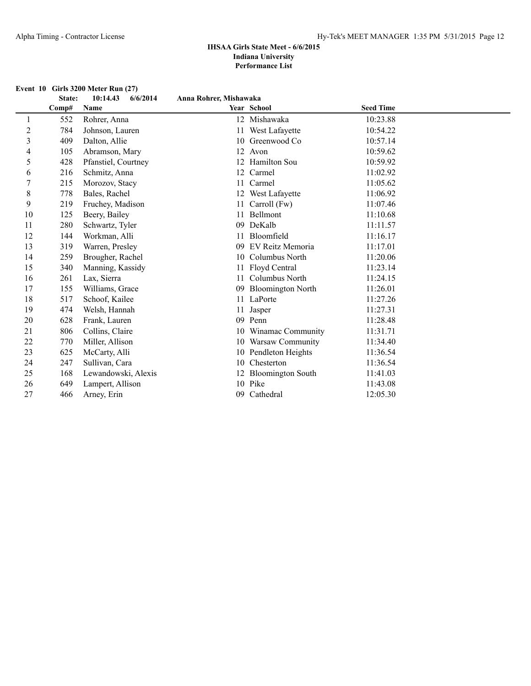|    | State: | 10:14.43<br>6/6/2014 | Anna Rohrer, Mishawaka |                          |                  |  |
|----|--------|----------------------|------------------------|--------------------------|------------------|--|
|    | Comp#  | Name                 |                        | Year School              | <b>Seed Time</b> |  |
| 1  | 552    | Rohrer, Anna         |                        | 12 Mishawaka             | 10:23.88         |  |
| 2  | 784    | Johnson, Lauren      | 11                     | West Lafayette           | 10:54.22         |  |
| 3  | 409    | Dalton, Allie        |                        | 10 Greenwood Co          | 10:57.14         |  |
| 4  | 105    | Abramson, Mary       |                        | 12 Avon                  | 10:59.62         |  |
| 5  | 428    | Pfanstiel, Courtney  |                        | 12 Hamilton Sou          | 10:59.92         |  |
| 6  | 216    | Schmitz, Anna        |                        | 12 Carmel                | 11:02.92         |  |
| 7  | 215    | Morozov, Stacy       | 11                     | Carmel                   | 11:05.62         |  |
| 8  | 778    | Bales, Rachel        |                        | 12 West Lafayette        | 11:06.92         |  |
| 9  | 219    | Fruchey, Madison     | 11                     | Carroll (Fw)             | 11:07.46         |  |
| 10 | 125    | Beery, Bailey        | 11                     | Bellmont                 | 11:10.68         |  |
| 11 | 280    | Schwartz, Tyler      | 09                     | DeKalb                   | 11:11.57         |  |
| 12 | 144    | Workman, Alli        |                        | Bloomfield               | 11:16.17         |  |
| 13 | 319    | Warren, Presley      | 09                     | EV Reitz Memoria         | 11:17.01         |  |
| 14 | 259    | Brougher, Rachel     | 10                     | Columbus North           | 11:20.06         |  |
| 15 | 340    | Manning, Kassidy     |                        | Floyd Central            | 11:23.14         |  |
| 16 | 261    | Lax, Sierra          |                        | Columbus North           | 11:24.15         |  |
| 17 | 155    | Williams, Grace      | 09                     | <b>Bloomington North</b> | 11:26.01         |  |
| 18 | 517    | Schoof, Kailee       |                        | 11 LaPorte               | 11:27.26         |  |
| 19 | 474    | Welsh, Hannah        |                        | Jasper                   | 11:27.31         |  |
| 20 | 628    | Frank, Lauren        |                        | 09 Penn                  | 11:28.48         |  |
| 21 | 806    | Collins, Claire      |                        | 10 Winamac Community     | 11:31.71         |  |
| 22 | 770    | Miller, Allison      | 10                     | Warsaw Community         | 11:34.40         |  |
| 23 | 625    | McCarty, Alli        |                        | 10 Pendleton Heights     | 11:36.54         |  |
| 24 | 247    | Sullivan, Cara       | 10                     | Chesterton               | 11:36.54         |  |
| 25 | 168    | Lewandowski, Alexis  |                        | 12 Bloomington South     | 11:41.03         |  |
| 26 | 649    | Lampert, Allison     |                        | 10 Pike                  | 11:43.08         |  |
| 27 | 466    | Arney, Erin          | 09                     | Cathedral                | 12:05.30         |  |

#### **Event 10 Girls 3200 Meter Run (27)**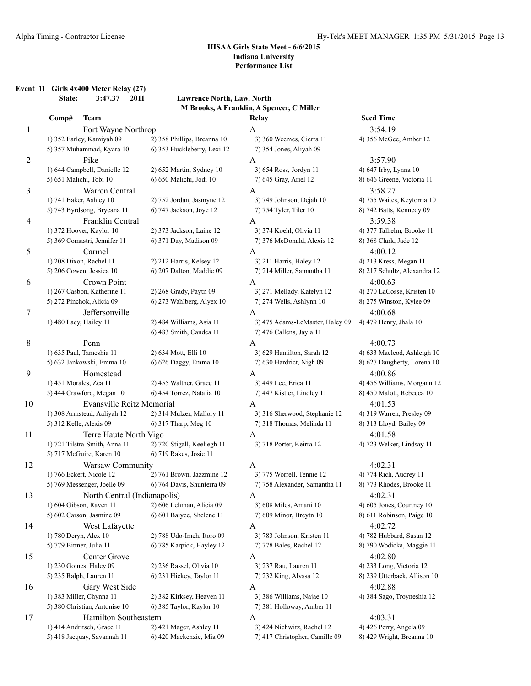**Event 11 Girls 4x400 Meter Relay (27)**

**State: 3:47.37 2011 Lawrence North, Law. North M Brooks, A Franklin, A Spencer, C Miller**

|    | Comp#                    | Team                          |                             | Relay                           | <b>Seed Time</b>             |
|----|--------------------------|-------------------------------|-----------------------------|---------------------------------|------------------------------|
| 1  |                          | Fort Wayne Northrop           |                             | A                               | 3:54.19                      |
|    |                          | 1) 352 Earley, Kamiyah 09     | 2) 358 Phillips, Breanna 10 | 3) 360 Weemes, Cierra 11        | 4) 356 McGee, Amber 12       |
|    |                          | 5) 357 Muhammad, Kyara 10     | 6) 353 Huckleberry, Lexi 12 | 7) 354 Jones, Aliyah 09         |                              |
| 2  |                          | Pike                          |                             | $\mathbf{A}$                    | 3:57.90                      |
|    |                          | 1) 644 Campbell, Danielle 12  | 2) 652 Martin, Sydney 10    | 3) 654 Ross, Jordyn 11          | 4) 647 Irby, Lynna 10        |
|    |                          | 5) 651 Malichi, Tobi 10       | 6) 650 Malichi, Jodi 10     | 7) 645 Gray, Ariel 12           | 8) 646 Greene, Victoria 11   |
| 3  |                          | Warren Central                |                             | A                               | 3:58.27                      |
|    |                          | 1) 741 Baker, Ashley 10       | 2) 752 Jordan, Jasmyne 12   | 3) 749 Johnson, Dejah 10        | 4) 755 Waites, Keytorria 10  |
|    |                          | 5) 743 Byrdsong, Bryeana 11   | 6) 747 Jackson, Joye 12     | 7) 754 Tyler, Tiler 10          | 8) 742 Batts, Kennedy 09     |
| 4  |                          | Franklin Central              |                             | $\mathbf{A}$                    | 3:59.38                      |
|    |                          | 1) 372 Hoover, Kaylor 10      | 2) 373 Jackson, Laine 12    | 3) 374 Koehl, Olivia 11         | 4) 377 Talhelm, Brooke 11    |
|    |                          | 5) 369 Comastri, Jennifer 11  | 6) 371 Day, Madison 09      | 7) 376 McDonald, Alexis 12      | 8) 368 Clark, Jade 12        |
| 5  |                          | Carmel                        |                             | A                               | 4:00.12                      |
|    |                          | 1) 208 Dixon, Rachel 11       | 2) 212 Harris, Kelsey 12    | 3) 211 Harris, Haley 12         | 4) 213 Kress, Megan 11       |
|    |                          | 5) 206 Cowen, Jessica 10      | 6) 207 Dalton, Maddie 09    | 7) 214 Miller, Samantha 11      | 8) 217 Schultz, Alexandra 12 |
| 6  |                          | Crown Point                   |                             | A                               | 4:00.63                      |
|    |                          | 1) 267 Casbon, Katherine 11   | 2) 268 Grady, Paytn 09      | 3) 271 Mellady, Katelyn 12      | 4) 270 LaCosse, Kristen 10   |
|    |                          | 5) 272 Pinchok, Alicia 09     | 6) 273 Wahlberg, Alyex 10   | 7) 274 Wells, Ashlynn 10        | 8) 275 Winston, Kylee 09     |
| 7  |                          | Jeffersonville                |                             | A                               | 4:00.68                      |
|    | 1) 480 Lacy, Hailey 11   |                               | 2) 484 Williams, Asia 11    | 3) 475 Adams-LeMaster, Haley 09 | 4) 479 Henry, Jhala 10       |
|    |                          |                               | 6) 483 Smith, Candea 11     | 7) 476 Callens, Jayla 11        |                              |
| 8  |                          | Penn                          |                             | A                               | 4:00.73                      |
|    |                          | 1) 635 Paul, Tameshia 11      | 2) 634 Mott, Elli 10        | 3) 629 Hamilton, Sarah 12       | 4) 633 Macleod, Ashleigh 10  |
|    |                          | 5) 632 Jankowski, Emma 10     | 6) 626 Daggy, Emma 10       | 7) 630 Hardrict, Nigh 09        | 8) 627 Daugherty, Lorena 10  |
| 9  |                          | Homestead                     |                             | A                               | 4:00.86                      |
|    | 1) 451 Morales, Zea 11   |                               | 2) 455 Walther, Grace 11    | 3) 449 Lee, Erica 11            | 4) 456 Williams, Morgann 12  |
|    |                          | 5) 444 Crawford, Megan 10     | 6) 454 Torrez, Natalia 10   | 7) 447 Kistler, Lindley 11      | 8) 450 Malott, Rebecca 10    |
| 10 |                          | Evansville Reitz Memorial     |                             | $\mathbf{A}$                    | 4:01.53                      |
|    |                          | 1) 308 Armstead, Aaliyah 12   | 2) 314 Mulzer, Mallory 11   | 3) 316 Sherwood, Stephanie 12   | 4) 319 Warren, Presley 09    |
|    | 5) 312 Kelle, Alexis 09  |                               | 6) 317 Tharp, Meg 10        | 7) 318 Thomas, Melinda 11       | 8) 313 Lloyd, Bailey 09      |
| 11 |                          | Terre Haute North Vigo        |                             | A                               | 4:01.58                      |
|    |                          | 1) 721 Tilstra-Smith, Anna 11 | 2) 720 Stigall, Keeliegh 11 | 3) 718 Porter, Keirra 12        | 4) 723 Welker, Lindsay 11    |
|    |                          | 5) 717 McGuire, Karen 10      | 6) 719 Rakes, Josie 11      |                                 |                              |
| 12 |                          | Warsaw Community              |                             | A                               | 4:02.31                      |
|    |                          | 1) 766 Eckert, Nicole 12      | 2) 761 Brown, Jazzmine 12   | 3) 775 Worrell, Tennie 12       | 4) 774 Rich, Audrey 11       |
|    |                          | 5) 769 Messenger, Joelle 09   | 6) 764 Davis, Shunterra 09  | 7) 758 Alexander, Samantha 11   | 8) 773 Rhodes, Brooke 11     |
| 13 |                          | North Central (Indianapolis)  |                             | A                               | 4:02.31                      |
|    |                          | 1) 604 Gibson, Raven 11       | 2) 606 Lehman, Alicia 09    | 3) 608 Miles, Amani 10          | 4) 605 Jones, Courtney 10    |
|    |                          | 5) 602 Carson, Jasmine 09     | 6) 601 Baiyee, Shelene 11   | 7) 609 Minor, Breytn 10         | 8) 611 Robinson, Paige 10    |
| 14 |                          | West Lafayette                |                             | A                               | 4:02.72                      |
|    | 1) 780 Deryn, Alex 10    |                               | 2) 788 Udo-Imeh, Itoro 09   | 3) 783 Johnson, Kristen 11      | 4) 782 Hubbard, Susan 12     |
|    | 5) 779 Bittner, Julia 11 |                               | 6) 785 Karpick, Hayley 12   | 7) 778 Bales, Rachel 12         | 8) 790 Wodicka, Maggie 11    |
| 15 |                          | Center Grove                  |                             | A                               | 4:02.80                      |
|    |                          | 1) 230 Goines, Haley 09       | 2) 236 Rassel, Olivia 10    | 3) 237 Rau, Lauren 11           | 4) 233 Long, Victoria 12     |
|    |                          | 5) 235 Ralph, Lauren 11       | 6) 231 Hickey, Taylor 11    | 7) 232 King, Alyssa 12          | 8) 239 Utterback, Allison 10 |
| 16 |                          | Gary West Side                |                             | A                               | 4:02.88                      |
|    |                          | 1) 383 Miller, Chynna 11      | 2) 382 Kirksey, Heaven 11   | 3) 386 Williams, Najae 10       | 4) 384 Sago, Troyneshia 12   |
|    |                          | 5) 380 Christian, Antonise 10 | 6) 385 Taylor, Kaylor 10    | 7) 381 Holloway, Amber 11       |                              |
| 17 |                          | Hamilton Southeastern         |                             | A                               | 4:03.31                      |
|    |                          | 1) 414 Andritsch, Grace 11    | 2) 421 Mager, Ashley 11     | 3) 424 Nichwitz, Rachel 12      | 4) 426 Perry, Angela 09      |
|    |                          | 5) 418 Jacquay, Savannah 11   | 6) 420 Mackenzie, Mia 09    | 7) 417 Christopher, Camille 09  | 8) 429 Wright, Breanna 10    |
|    |                          |                               |                             |                                 |                              |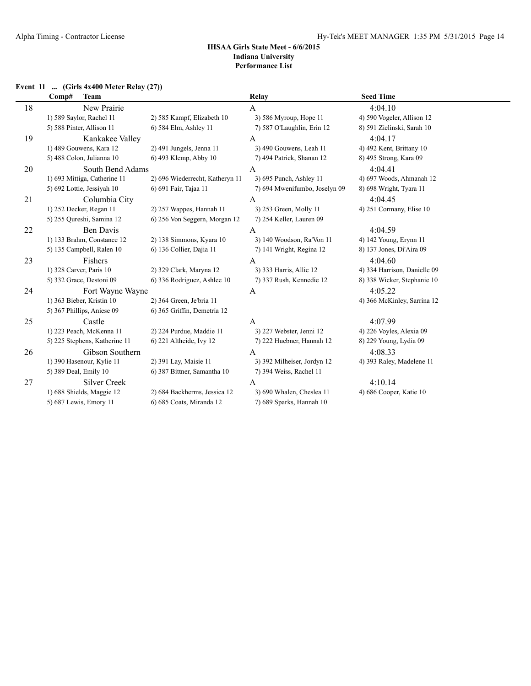#### **Event 11 ... (Girls 4x400 Meter Relay (27))**

|    | Comp#<br><b>Team</b>          |                                 | Relay                         | <b>Seed Time</b>             |
|----|-------------------------------|---------------------------------|-------------------------------|------------------------------|
| 18 | New Prairie                   |                                 | А                             | 4:04.10                      |
|    | 1) 589 Saylor, Rachel 11      | 2) 585 Kampf, Elizabeth 10      | 3) 586 Myroup, Hope 11        | 4) 590 Vogeler, Allison 12   |
|    | 5) 588 Pinter, Allison 11     | 6) 584 Elm, Ashley 11           | 7) 587 O'Laughlin, Erin 12    | 8) 591 Zielinski, Sarah 10   |
| 19 | Kankakee Valley               |                                 | A                             | 4:04.17                      |
|    | 1) 489 Gouwens, Kara 12       | 2) 491 Jungels, Jenna 11        | 3) 490 Gouwens, Leah 11       | 4) 492 Kent, Brittany 10     |
|    | 5) 488 Colon, Julianna 10     | 6) 493 Klemp, Abby 10           | 7) 494 Patrick, Shanan 12     | 8) 495 Strong, Kara 09       |
| 20 | South Bend Adams              |                                 | A                             | 4:04.41                      |
|    | 1) 693 Mittiga, Catherine 11  | 2) 696 Wiederrecht, Katheryn 11 | 3) 695 Punch, Ashley 11       | 4) 697 Woods, Ahmanah 12     |
|    | 5) 692 Lottie, Jessiyah 10    | 6) 691 Fair, Tajaa 11           | 7) 694 Mwenifumbo, Joselyn 09 | 8) 698 Wright, Tyara 11      |
| 21 | Columbia City                 |                                 | A                             | 4:04.45                      |
|    | 1) 252 Decker, Regan 11       | 2) 257 Wappes, Hannah 11        | 3) 253 Green, Molly 11        | 4) 251 Cormany, Elise 10     |
|    | 5) 255 Qureshi, Samina 12     | 6) 256 Von Seggern, Morgan 12   | 7) 254 Keller, Lauren 09      |                              |
| 22 | Ben Davis                     |                                 | A                             | 4:04.59                      |
|    | 1) 133 Brahm, Constance 12    | 2) 138 Simmons, Kyara 10        | 3) 140 Woodson, Ra'Von 11     | 4) 142 Young, Erynn 11       |
|    | 5) 135 Campbell, Ralen 10     | 6) 136 Collier, Dajia 11        | 7) 141 Wright, Regina 12      | 8) 137 Jones, Di'Aira 09     |
| 23 | Fishers                       |                                 | A                             | 4:04.60                      |
|    | 1) 328 Carver, Paris 10       | 2) 329 Clark, Maryna 12         | 3) 333 Harris, Allie 12       | 4) 334 Harrison, Danielle 09 |
|    | 5) 332 Grace, Destoni 09      | 6) 336 Rodriguez, Ashlee 10     | 7) 337 Rush, Kennedie 12      | 8) 338 Wicker, Stephanie 10  |
| 24 | Fort Wayne Wayne              |                                 | A                             | 4:05.22                      |
|    | 1) 363 Bieber, Kristin 10     | 2) 364 Green, Je'bria 11        |                               | 4) 366 McKinley, Sarrina 12  |
|    | 5) 367 Phillips, Aniese 09    | 6) 365 Griffin, Demetria 12     |                               |                              |
| 25 | Castle                        |                                 | A                             | 4:07.99                      |
|    | 1) 223 Peach, McKenna 11      | 2) 224 Purdue, Maddie 11        | 3) 227 Webster, Jenni 12      | 4) 226 Voyles, Alexia 09     |
|    | 5) 225 Stephens, Katherine 11 | 6) 221 Altheide, Ivy 12         | 7) 222 Huebner, Hannah 12     | 8) 229 Young, Lydia 09       |
| 26 | Gibson Southern               |                                 | $\overline{A}$                | 4:08.33                      |
|    | 1) 390 Hasenour, Kylie 11     | 2) 391 Lay, Maisie 11           | 3) 392 Milheiser, Jordyn 12   | 4) 393 Raley, Madelene 11    |
|    | 5) 389 Deal, Emily 10         | 6) 387 Bittner, Samantha 10     | 7) 394 Weiss, Rachel 11       |                              |
| 27 | <b>Silver Creek</b>           |                                 | A                             | 4:10.14                      |
|    | 1) 688 Shields, Maggie 12     | 2) 684 Backherms, Jessica 12    | 3) 690 Whalen, Cheslea 11     | 4) 686 Cooper, Katie 10      |
|    | 5) 687 Lewis, Emory 11        | 6) 685 Coats, Miranda 12        | 7) 689 Sparks, Hannah 10      |                              |
|    |                               |                                 |                               |                              |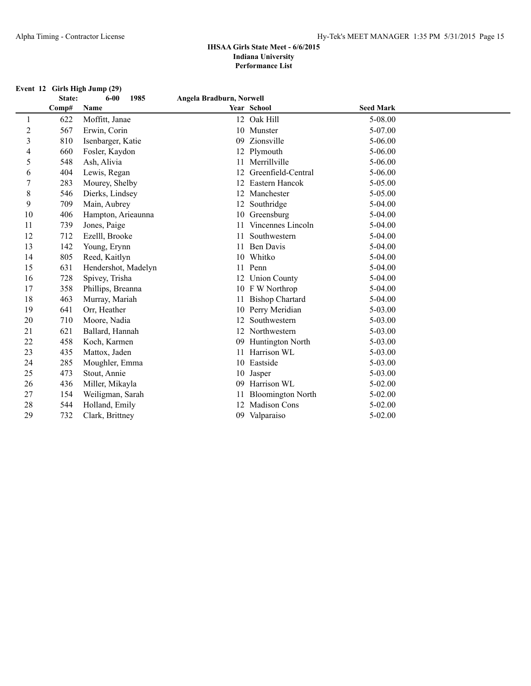# **Event 12 Girls High Jump (29)**<br>**State:** 6-00

|                | State: | 1985<br>$6 - 00$    | Angela Bradburn, Norwell |                          |                  |  |
|----------------|--------|---------------------|--------------------------|--------------------------|------------------|--|
|                | Comp#  | Name                |                          | Year School              | <b>Seed Mark</b> |  |
| 1              | 622    | Moffitt, Janae      |                          | 12 Oak Hill              | 5-08.00          |  |
| $\overline{c}$ | 567    | Erwin, Corin        | 10                       | Munster                  | 5-07.00          |  |
| 3              | 810    | Isenbarger, Katie   | 09                       | Zionsville               | 5-06.00          |  |
| 4              | 660    | Fosler, Kaydon      | 12                       | Plymouth                 | 5-06.00          |  |
| 5              | 548    | Ash, Alivia         |                          | Merrillville             | 5-06.00          |  |
| 6              | 404    | Lewis, Regan        |                          | Greenfield-Central       | 5-06.00          |  |
| 7              | 283    | Mourey, Shelby      | 12                       | Eastern Hancok           | 5-05.00          |  |
| 8              | 546    | Dierks, Lindsey     |                          | Manchester               | 5-05.00          |  |
| 9              | 709    | Main, Aubrey        | 12                       | Southridge               | 5-04.00          |  |
| 10             | 406    | Hampton, Arieaunna  | 10                       | Greensburg               | 5-04.00          |  |
| 11             | 739    | Jones, Paige        |                          | Vincennes Lincoln        | 5-04.00          |  |
| 12             | 712    | Ezelll, Brooke      | 11                       | Southwestern             | $5-04.00$        |  |
| 13             | 142    | Young, Erynn        |                          | <b>Ben Davis</b>         | 5-04.00          |  |
| 14             | 805    | Reed, Kaitlyn       | 10                       | Whitko                   | 5-04.00          |  |
| 15             | 631    | Hendershot, Madelyn | 11                       | Penn                     | 5-04.00          |  |
| 16             | 728    | Spivey, Trisha      | 12                       | <b>Union County</b>      | 5-04.00          |  |
| 17             | 358    | Phillips, Breanna   | 10                       | F W Northrop             | 5-04.00          |  |
| 18             | 463    | Murray, Mariah      |                          | <b>Bishop Chartard</b>   | 5-04.00          |  |
| 19             | 641    | Orr, Heather        | 10                       | Perry Meridian           | 5-03.00          |  |
| 20             | 710    | Moore, Nadia        |                          | Southwestern             | 5-03.00          |  |
| 21             | 621    | Ballard, Hannah     | 12                       | Northwestern             | 5-03.00          |  |
| 22             | 458    | Koch, Karmen        | 09                       | Huntington North         | 5-03.00          |  |
| 23             | 435    | Mattox, Jaden       |                          | Harrison WL              | 5-03.00          |  |
| 24             | 285    | Moughler, Emma      | 10                       | Eastside                 | 5-03.00          |  |
| 25             | 473    | Stout, Annie        | 10                       | Jasper                   | 5-03.00          |  |
| 26             | 436    | Miller, Mikayla     | 09                       | Harrison WL              | $5 - 02.00$      |  |
| 27             | 154    | Weiligman, Sarah    |                          | <b>Bloomington North</b> | 5-02.00          |  |
| 28             | 544    | Holland, Emily      | 12                       | Madison Cons             | 5-02.00          |  |
| 29             | 732    | Clark, Brittney     | 09                       | Valparaiso               | 5-02.00          |  |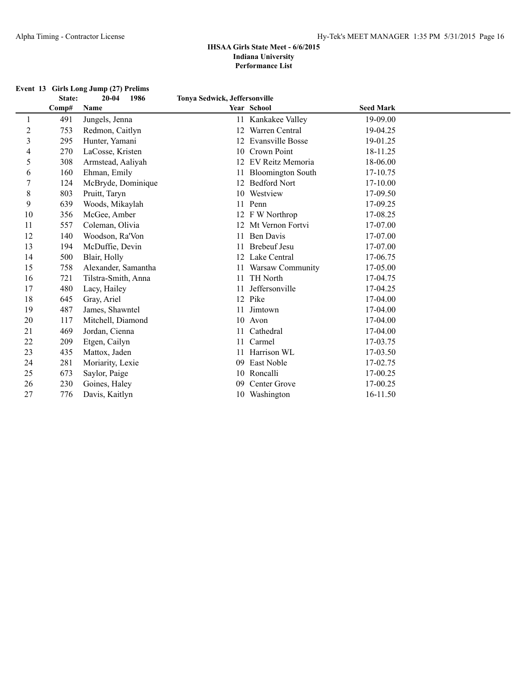|                         |                 | Event 13 Girls Long Jump (27) Prelims |                               |                          |                  |  |
|-------------------------|-----------------|---------------------------------------|-------------------------------|--------------------------|------------------|--|
|                         | State:<br>Comp# | $20 - 04$<br>1986<br>Name             | Tonya Sedwick, Jeffersonville | Year School              | <b>Seed Mark</b> |  |
| 1                       | 491             | Jungels, Jenna                        | 11                            | Kankakee Valley          | 19-09.00         |  |
| $\overline{\mathbf{c}}$ | 753             | Redmon, Caitlyn                       | 12                            | Warren Central           | 19-04.25         |  |
| 3                       | 295             | Hunter, Yamani                        | 12                            | <b>Evansville Bosse</b>  | 19-01.25         |  |
| 4                       | 270             | LaCosse, Kristen                      | 10                            | Crown Point              | 18-11.25         |  |
| 5                       | 308             | Armstead, Aaliyah                     | 12                            | EV Reitz Memoria         | 18-06.00         |  |
| 6                       | 160             | Ehman, Emily                          |                               | <b>Bloomington South</b> | 17-10.75         |  |
| $\boldsymbol{7}$        | 124             | McBryde, Dominique                    | 12                            | <b>Bedford Nort</b>      | 17-10.00         |  |
| $\,$ $\,$               | 803             | Pruitt, Taryn                         |                               | 10 Westview              | 17-09.50         |  |
| 9                       | 639             | Woods, Mikaylah                       |                               | 11 Penn                  | 17-09.25         |  |
| 10                      | 356             | McGee, Amber                          |                               | 12 F W Northrop          | 17-08.25         |  |
| 11                      | 557             | Coleman, Olivia                       |                               | 12 Mt Vernon Fortvi      | 17-07.00         |  |
| 12                      | 140             | Woodson, Ra'Von                       | 11                            | <b>Ben Davis</b>         | 17-07.00         |  |
| 13                      | 194             | McDuffie, Devin                       | 11                            | <b>Brebeuf Jesu</b>      | 17-07.00         |  |
| 14                      | 500             | Blair, Holly                          |                               | 12 Lake Central          | 17-06.75         |  |
| 15                      | 758             | Alexander, Samantha                   |                               | 11 Warsaw Community      | 17-05.00         |  |
| 16                      | 721             | Tilstra-Smith, Anna                   | 11                            | TH North                 | 17-04.75         |  |
| 17                      | 480             | Lacy, Hailey                          | 11                            | Jeffersonville           | 17-04.25         |  |
| 18                      | 645             | Gray, Ariel                           |                               | 12 Pike                  | 17-04.00         |  |
| 19                      | 487             | James, Shawntel                       | 11                            | Jimtown                  | 17-04.00         |  |
| 20                      | 117             | Mitchell, Diamond                     |                               | 10 Avon                  | 17-04.00         |  |
| 21                      | 469             | Jordan, Cienna                        | 11                            | Cathedral                | 17-04.00         |  |
| 22                      | 209             | Etgen, Cailyn                         | 11                            | Carmel                   | 17-03.75         |  |
| 23                      | 435             | Mattox, Jaden                         | 11                            | Harrison WL              | 17-03.50         |  |
| 24                      | 281             | Moriarity, Lexie                      | 09                            | East Noble               | 17-02.75         |  |
| 25                      | 673             | Saylor, Paige                         |                               | 10 Roncalli              | 17-00.25         |  |
| 26                      | 230             | Goines, Haley                         | 09                            | Center Grove             | 17-00.25         |  |
| 27                      | 776             | Davis, Kaitlyn                        |                               | 10 Washington            | 16-11.50         |  |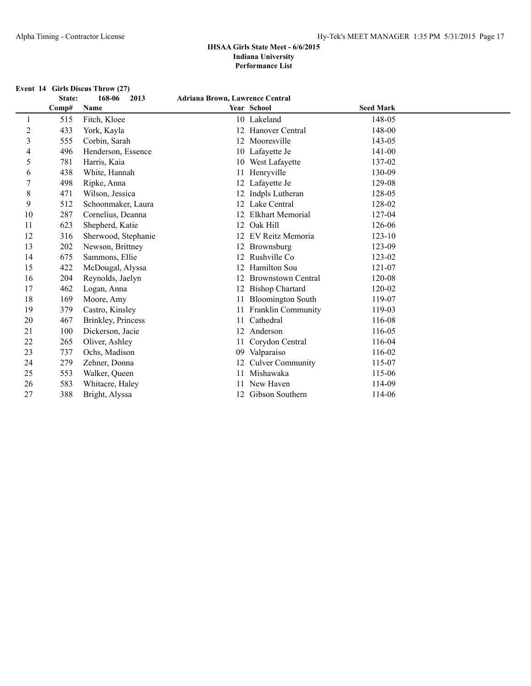## **Event 14 Girls Discus Throw (27)**<br>**State: 168-06** 2013

|    | State: | 168-06<br>2013      | <b>Adriana Brown, Lawrence Central</b> |                           |                  |  |
|----|--------|---------------------|----------------------------------------|---------------------------|------------------|--|
|    | Comp#  | Name                |                                        | Year School               | <b>Seed Mark</b> |  |
|    | 515    | Fitch, Kloee        |                                        | 10 Lakeland               | 148-05           |  |
| 2  | 433    | York, Kayla         | 12                                     | Hanover Central           | 148-00           |  |
| 3  | 555    | Corbin, Sarah       | 12                                     | Mooresville               | 143-05           |  |
| 4  | 496    | Henderson, Essence  |                                        | 10 Lafayette Je           | 141-00           |  |
| 5  | 781    | Harris, Kaia        | 10                                     | West Lafayette            | 137-02           |  |
| 6  | 438    | White, Hannah       | 11                                     | Henryville                | 130-09           |  |
| 7  | 498    | Ripke, Anna         |                                        | Lafayette Je              | 129-08           |  |
| 8  | 471    | Wilson, Jessica     |                                        | 12 Indpls Lutheran        | 128-05           |  |
| 9  | 512    | Schoonmaker, Laura  | 12                                     | Lake Central              | 128-02           |  |
| 10 | 287    | Cornelius, Deanna   | 12                                     | <b>Elkhart Memorial</b>   | 127-04           |  |
| 11 | 623    | Shepherd, Katie     | 12                                     | Oak Hill                  | 126-06           |  |
| 12 | 316    | Sherwood, Stephanie |                                        | EV Reitz Memoria          | $123 - 10$       |  |
| 13 | 202    | Newson, Brittney    | 12                                     | Brownsburg                | 123-09           |  |
| 14 | 675    | Sammons, Ellie      |                                        | Rushville Co              | 123-02           |  |
| 15 | 422    | McDougal, Alyssa    | 12                                     | Hamilton Sou              | 121-07           |  |
| 16 | 204    | Reynolds, Jaelyn    |                                        | <b>Brownstown Central</b> | 120-08           |  |
| 17 | 462    | Logan, Anna         |                                        | <b>Bishop Chartard</b>    | 120-02           |  |
| 18 | 169    | Moore, Amy          |                                        | <b>Bloomington South</b>  | 119-07           |  |
| 19 | 379    | Castro, Kinsley     |                                        | 11 Franklin Community     | 119-03           |  |
| 20 | 467    | Brinkley, Princess  | 11                                     | Cathedral                 | 116-08           |  |
| 21 | 100    | Dickerson, Jacie    | 12                                     | Anderson                  | 116-05           |  |
| 22 | 265    | Oliver, Ashley      | 11                                     | Corydon Central           | 116-04           |  |
| 23 | 737    | Ochs, Madison       | 09                                     | Valparaiso                | 116-02           |  |
| 24 | 279    | Zehner, Donna       | 12                                     | <b>Culver Community</b>   | 115-07           |  |
| 25 | 553    | Walker, Queen       |                                        | Mishawaka                 | 115-06           |  |
| 26 | 583    | Whitacre, Haley     |                                        | New Haven                 | 114-09           |  |
| 27 | 388    | Bright, Alyssa      | 12                                     | Gibson Southern           | 114-06           |  |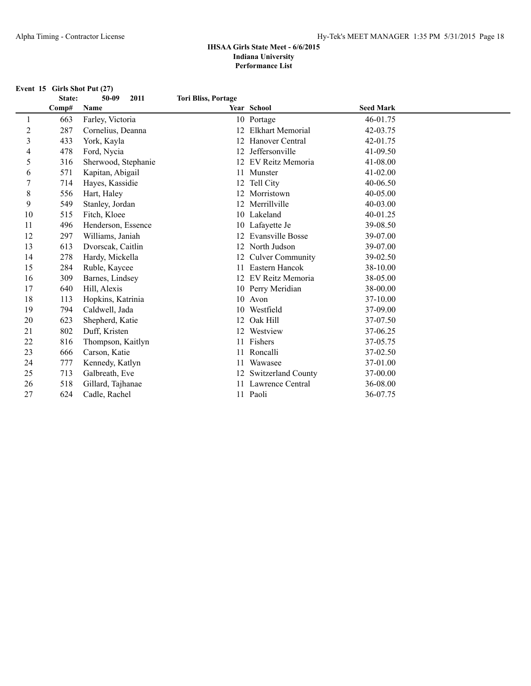**Event 15 Girls Shot Put (27)**

### **State: 50-09 2011 Tori Bliss, Portage**

| Comp# | Name                |              |                           | <b>Seed Mark</b>                                                                                                                                                                                                     |  |
|-------|---------------------|--------------|---------------------------|----------------------------------------------------------------------------------------------------------------------------------------------------------------------------------------------------------------------|--|
| 663   | Farley, Victoria    |              |                           | 46-01.75                                                                                                                                                                                                             |  |
| 287   | Cornelius, Deanna   | 12           | Elkhart Memorial          | 42-03.75                                                                                                                                                                                                             |  |
| 433   | York, Kayla         |              | Hanover Central           | 42-01.75                                                                                                                                                                                                             |  |
| 478   | Ford, Nycia         |              | Jeffersonville            | 41-09.50                                                                                                                                                                                                             |  |
| 316   | Sherwood, Stephanie | 12           | EV Reitz Memoria          | 41-08.00                                                                                                                                                                                                             |  |
| 571   | Kapitan, Abigail    |              |                           | 41-02.00                                                                                                                                                                                                             |  |
| 714   | Hayes, Kassidie     | 12           | Tell City                 | 40-06.50                                                                                                                                                                                                             |  |
| 556   | Hart, Haley         |              | Morristown                | 40-05.00                                                                                                                                                                                                             |  |
| 549   | Stanley, Jordan     |              | Merrillville              | 40-03.00                                                                                                                                                                                                             |  |
| 515   | Fitch, Kloee        |              |                           | 40-01.25                                                                                                                                                                                                             |  |
| 496   | Henderson, Essence  |              |                           | 39-08.50                                                                                                                                                                                                             |  |
| 297   | Williams, Janiah    |              | <b>Evansville Bosse</b>   | 39-07.00                                                                                                                                                                                                             |  |
| 613   | Dvorscak, Caitlin   |              | North Judson              | 39-07.00                                                                                                                                                                                                             |  |
| 278   | Hardy, Mickella     |              | <b>Culver Community</b>   | 39-02.50                                                                                                                                                                                                             |  |
| 284   | Ruble, Kaycee       |              | Eastern Hancok            | 38-10.00                                                                                                                                                                                                             |  |
| 309   | Barnes, Lindsey     |              |                           | 38-05.00                                                                                                                                                                                                             |  |
| 640   |                     |              |                           | 38-00.00                                                                                                                                                                                                             |  |
| 113   | Hopkins, Katrinia   |              |                           | 37-10.00                                                                                                                                                                                                             |  |
| 794   | Caldwell, Jada      |              | Westfield                 | 37-09.00                                                                                                                                                                                                             |  |
| 623   | Shepherd, Katie     | 12           | Oak Hill                  | 37-07.50                                                                                                                                                                                                             |  |
|       | Duff, Kristen       |              | Westview                  | 37-06.25                                                                                                                                                                                                             |  |
| 816   | Thompson, Kaitlyn   |              |                           | 37-05.75                                                                                                                                                                                                             |  |
| 666   | Carson, Katie       |              | Roncalli                  | 37-02.50                                                                                                                                                                                                             |  |
| 777   | Kennedy, Katlyn     | 11           |                           | 37-01.00                                                                                                                                                                                                             |  |
| 713   | Galbreath, Eve      |              | <b>Switzerland County</b> | 37-00.00                                                                                                                                                                                                             |  |
| 518   | Gillard, Tajhanae   |              |                           | 36-08.00                                                                                                                                                                                                             |  |
| 624   | Cadle, Rachel       |              |                           | 36-07.75                                                                                                                                                                                                             |  |
|       | 802                 | Hill, Alexis |                           | Year School<br>10 Portage<br>11 Munster<br>10 Lakeland<br>10 Lafayette Je<br>12<br>EV Reitz Memoria<br>12<br>10 Perry Meridian<br>10<br>Avon<br>10<br>11 Fishers<br>Wawasee<br>12<br>11 Lawrence Central<br>11 Paoli |  |